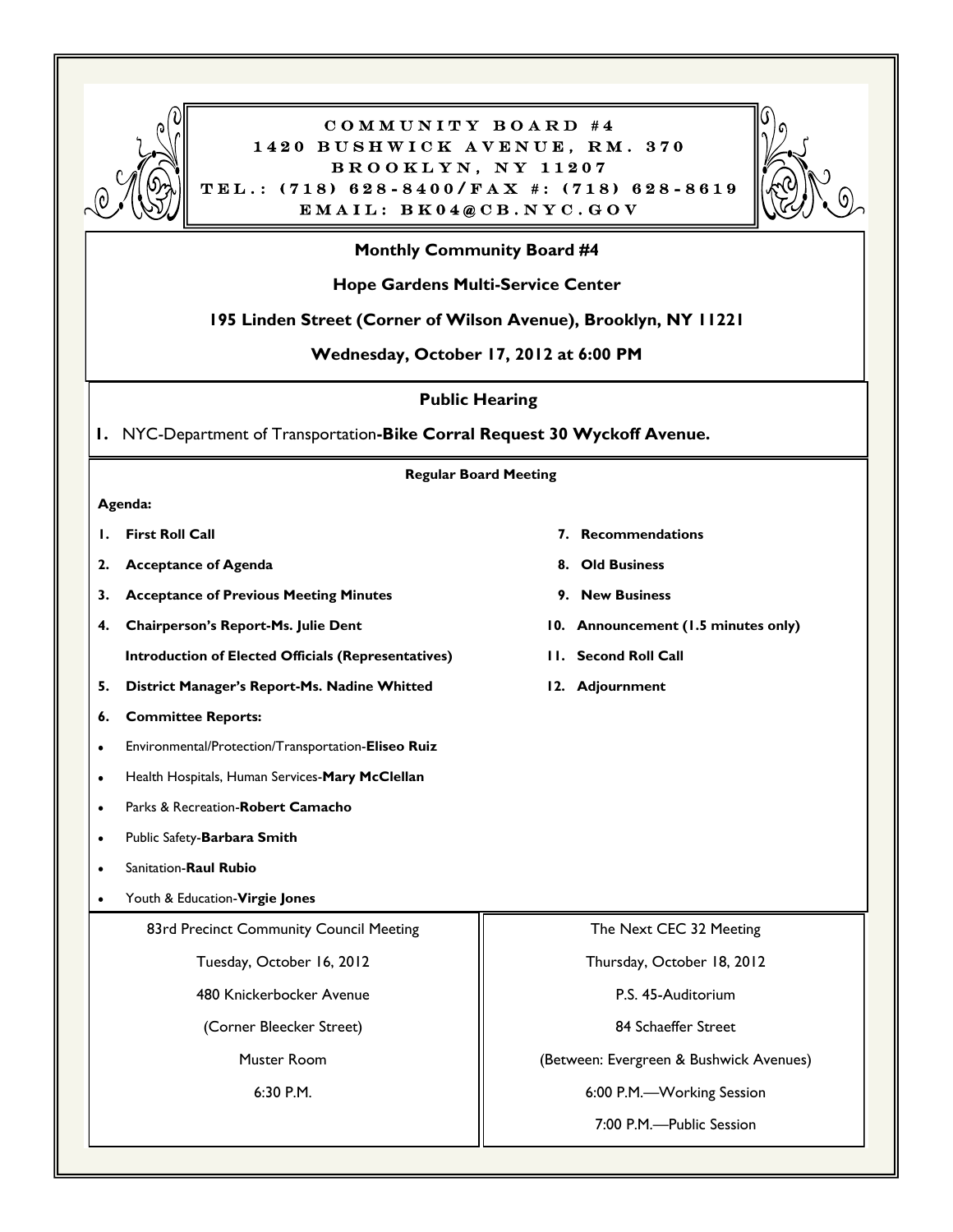

#### COMMUNITY BOARD #4 1420 BUSHWICK AVENUE, RM. 370 BROOKLYN, NY 11207  $TEL.: (718) 628 - 8400/FAX :: (718) 628 - 8619$  $EMAIL: BK04@CB. NYC. GOV$



#### **Monthly Community Board #4**

#### **Hope Gardens Multi-Service Center**

#### **195 Linden Street (Corner of Wilson Avenue), Brooklyn, NY 11221**

**Wednesday, October 17, 2012 at 6:00 PM**

**Public Hearing**

**1.** NYC-Department of Transportation**-Bike Corral Request 30 Wyckoff Avenue.**

**Regular Board Meeting**

#### **Agenda:**

- 
- 2. **Acceptance of Agenda** 8. Old Business
- **3. Acceptance of Previous Meeting Minutes 9. New Business**
- 4. Chairperson's Report-Ms. Julie Dent 10. Announcement (1.5 minutes only)
- **5. District Manager's Report-Ms. Nadine Whitted 12. Adjournment**
- **6. Committee Reports:**
- Environmental/Protection/Transportation-**Eliseo Ruiz**
- Health Hospitals, Human Services-**Mary McClellan**
- Parks & Recreation-**Robert Camacho**
- Public Safety-**Barbara Smith**
- Sanitation-**Raul Rubio**
- Youth & Education-**Virgie Jones**

83rd Precinct Community Council Meeting

Tuesday, October 16, 2012

480 Knickerbocker Avenue

(Corner Bleecker Street)

Muster Room

6:30 P.M.

- **1. First Roll Call 7. Recommendations**
	-
	-
	-
	- **Introduction of Elected Officials (Representatives) 11. Second Roll Call**
		-

Thursday, October 18, 2012

The Next CEC 32 Meeting

P.S. 45-Auditorium

84 Schaeffer Street

(Between: Evergreen & Bushwick Avenues)

6:00 P.M.—Working Session

7:00 P.M.—Public Session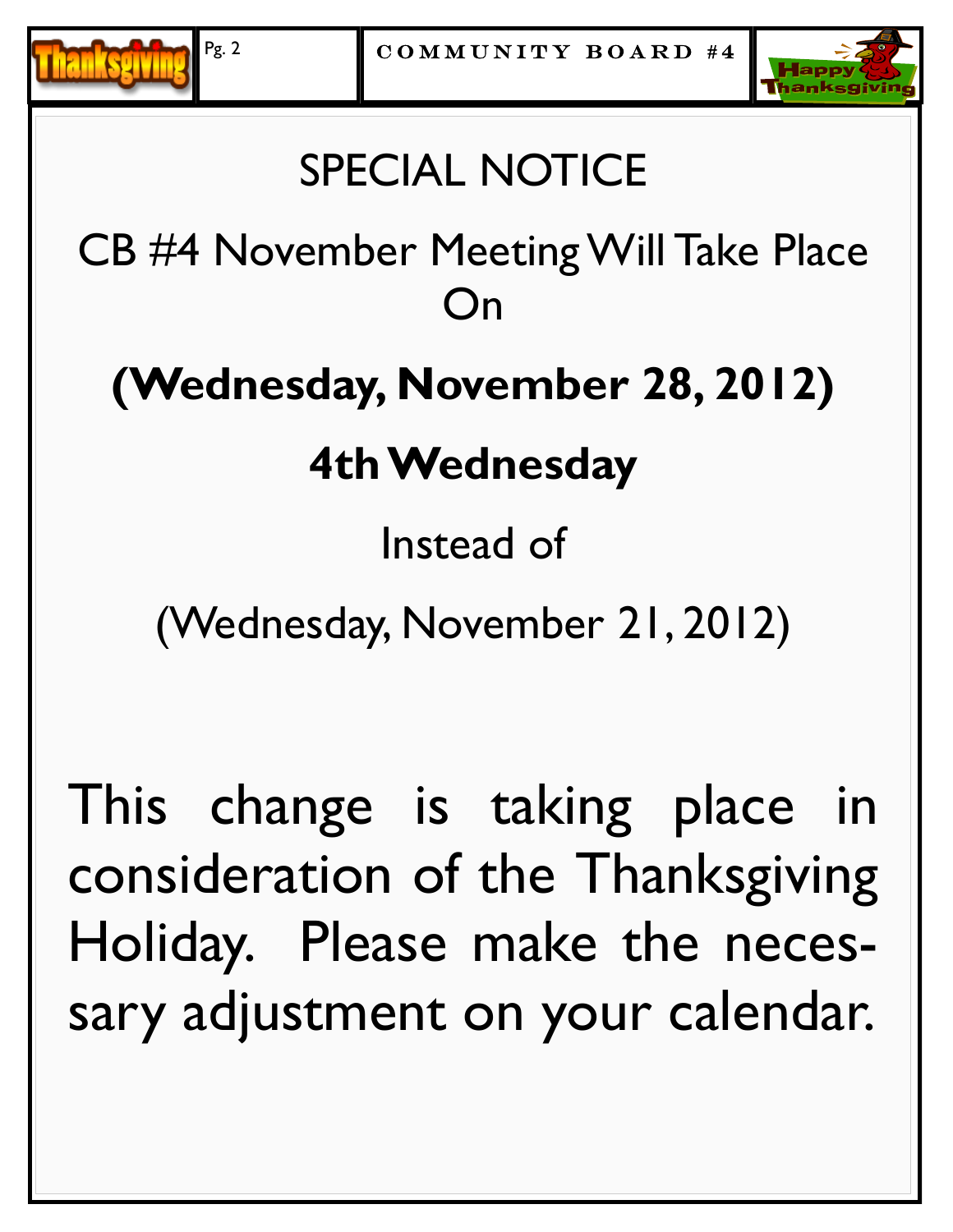



# SPECIAL NOTICE

CB #4 November Meeting Will Take Place On

# **(Wednesday, November 28, 2012)**

# **4th Wednesday**

# Instead of

(Wednesday, November 21, 2012)

This change is taking place in consideration of the Thanksgiving Holiday. Please make the necessary adjustment on your calendar.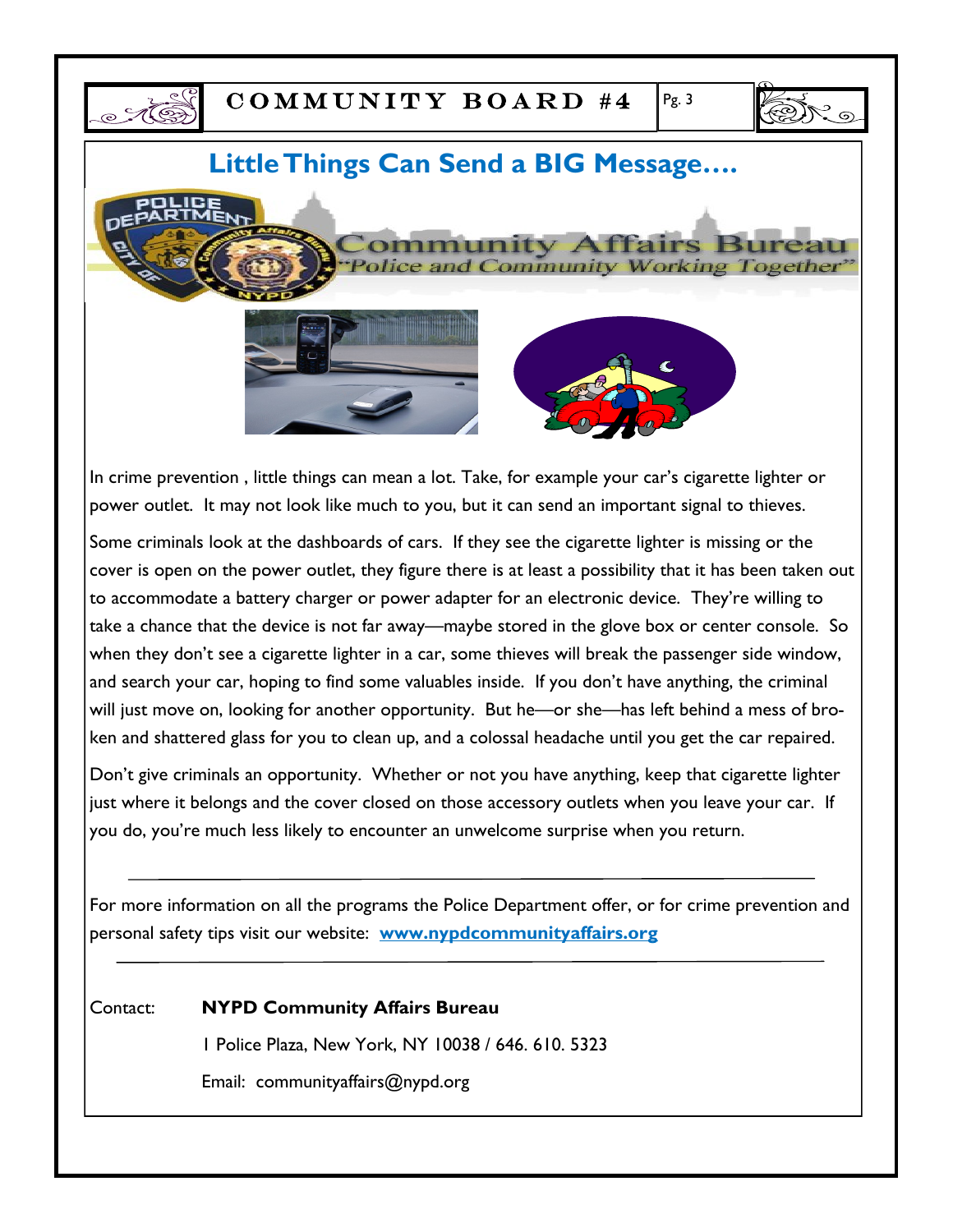



### **Little Things Can Send a BIG Message….**





In crime prevention , little things can mean a lot. Take, for example your car's cigarette lighter or power outlet. It may not look like much to you, but it can send an important signal to thieves.

Some criminals look at the dashboards of cars. If they see the cigarette lighter is missing or the cover is open on the power outlet, they figure there is at least a possibility that it has been taken out to accommodate a battery charger or power adapter for an electronic device. They're willing to take a chance that the device is not far away—maybe stored in the glove box or center console. So when they don't see a cigarette lighter in a car, some thieves will break the passenger side window, and search your car, hoping to find some valuables inside. If you don't have anything, the criminal will just move on, looking for another opportunity. But he—or she—has left behind a mess of broken and shattered glass for you to clean up, and a colossal headache until you get the car repaired.

Don't give criminals an opportunity. Whether or not you have anything, keep that cigarette lighter just where it belongs and the cover closed on those accessory outlets when you leave your car. If you do, you're much less likely to encounter an unwelcome surprise when you return.

For more information on all the programs the Police Department offer, or for crime prevention and personal safety tips visit our website: **www.nypdcommunityaffairs.org**

Contact: **NYPD Community Affairs Bureau**

1 Police Plaza, New York, NY 10038 / 646. 610. 5323

Email: communityaffairs@nypd.org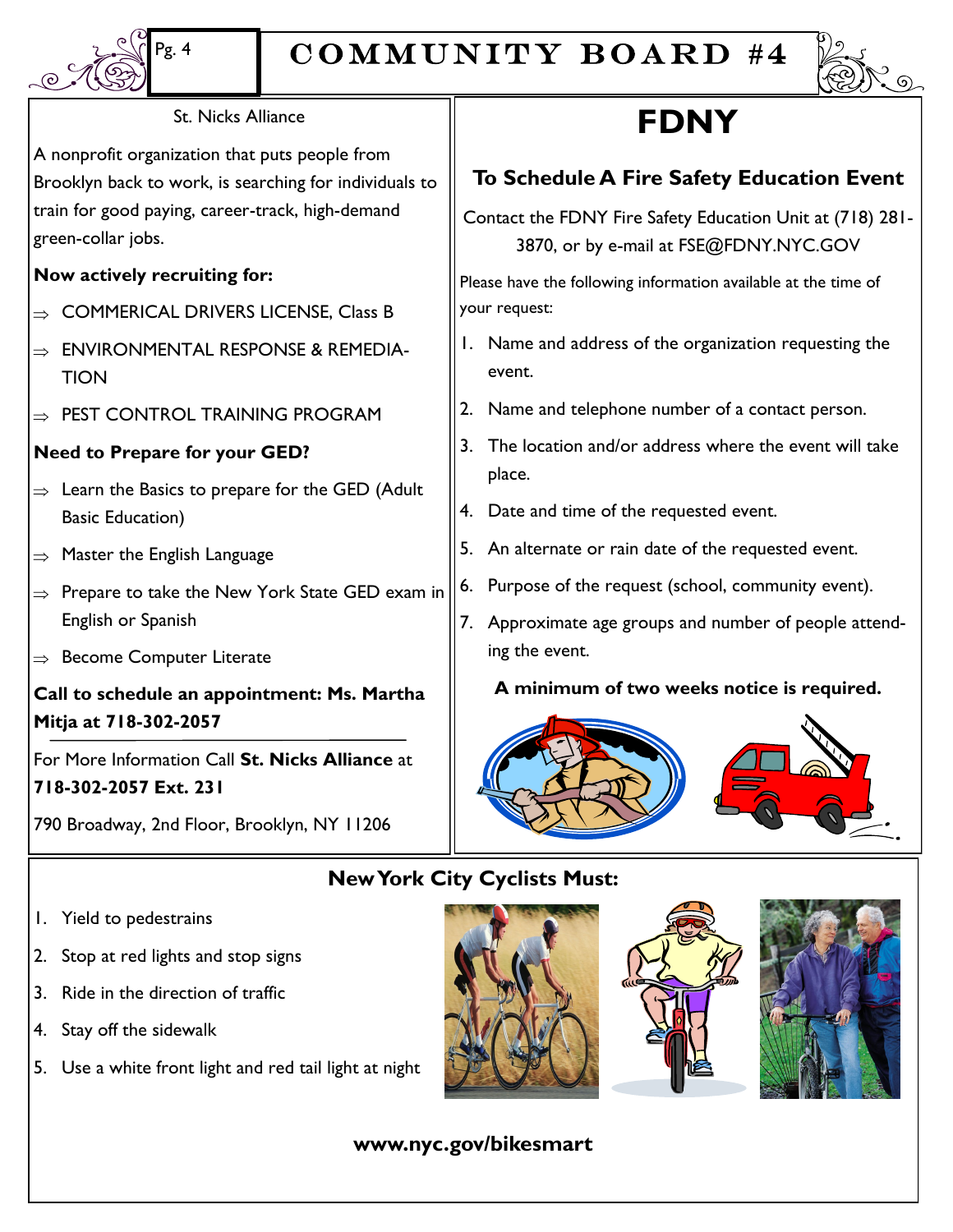

### COMMUNITY BOARD #4



#### St. Nicks Alliance

A nonprofit organization that puts people from Brooklyn back to work, is searching for individuals to train for good paying, career-track, high-demand green-collar jobs.

#### **Now actively recruiting for:**

- COMMERICAL DRIVERS LICENSE, Class B
- ENVIRONMENTAL RESPONSE & REMEDIA-**TION**
- $\Rightarrow$  PEST CONTROL TRAINING PROGRAM

#### **Need to Prepare for your GED?**

- $\Rightarrow$  Learn the Basics to prepare for the GED (Adult Basic Education)
- $\Rightarrow$  Master the English Language
- $\Rightarrow$  Prepare to take the New York State GED exam in English or Spanish
- $\Rightarrow$  Become Computer Literate

**Call to schedule an appointment: Ms. Martha Mitja at 718-302-2057**

For More Information Call **St. Nicks Alliance** at **718-302-2057 Ext. 231**

790 Broadway, 2nd Floor, Brooklyn, NY 11206

### **FDNY**

#### **To Schedule A Fire Safety Education Event**

Contact the FDNY Fire Safety Education Unit at (718) 281- 3870, or by e-mail at FSE@FDNY.NYC.GOV

Please have the following information available at the time of your request:

- 1. Name and address of the organization requesting the event.
- 2. Name and telephone number of a contact person.
- 3. The location and/or address where the event will take place.
- 4. Date and time of the requested event.
- 5. An alternate or rain date of the requested event.
- 6. Purpose of the request (school, community event).
- 7. Approximate age groups and number of people attending the event.

**A minimum of two weeks notice is required.**



#### **New York City Cyclists Must:**

- 1. Yield to pedestrains
- 2. Stop at red lights and stop signs
- 3. Ride in the direction of traffic
- 4. Stay off the sidewalk
- 5. Use a white front light and red tail light at night





#### **www.nyc.gov/bikesmart**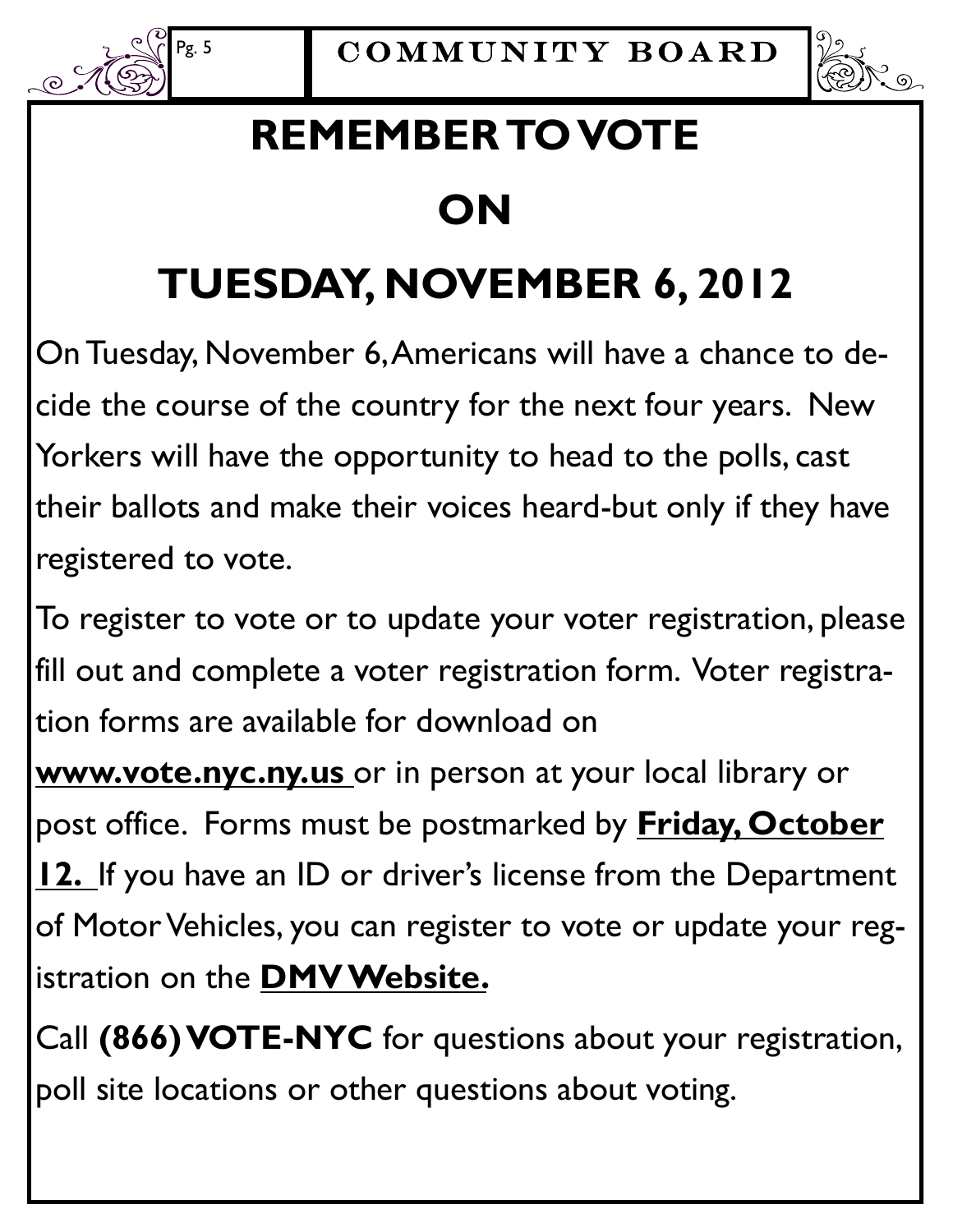



### **REMEMBER TO VOTE**

### **ON**

# **TUESDAY, NOVEMBER 6, 2012**

On Tuesday, November 6, Americans will have a chance to decide the course of the country for the next four years. New Yorkers will have the opportunity to head to the polls, cast their ballots and make their voices heard-but only if they have registered to vote.

To register to vote or to update your voter registration, please fill out and complete a voter registration form. Voter registration forms are available for download on

**www.vote.nyc.ny.us** or in person at your local library or post office. Forms must be postmarked by **Friday, October 12.** If you have an ID or driver's license from the Department of Motor Vehicles, you can register to vote or update your registration on the **DMV Website.** 

Call **(866) VOTE-NYC** for questions about your registration, poll site locations or other questions about voting.